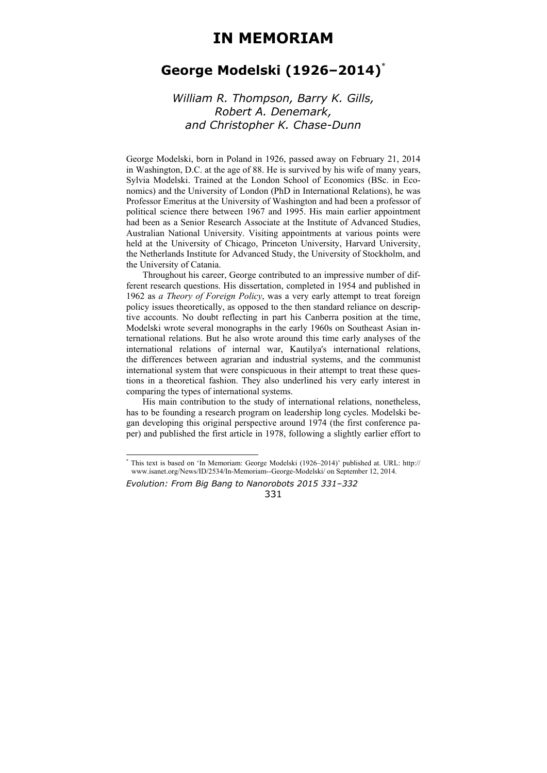## **IN MEMORIAM**

## **George Modelski (1926–2014)**\*

## *William R. Thompson, Barry K. Gills, Robert A. Denemark, and Christopher K. Chase-Dunn*

George Modelski, born in Poland in 1926, passed away on February 21, 2014 in Washington, D.C. at the age of 88. He is survived by his wife of many years, Sylvia Modelski. Trained at the London School of Economics (BSc. in Economics) and the University of London (PhD in International Relations), he was Professor Emeritus at the University of Washington and had been a professor of political science there between 1967 and 1995. His main earlier appointment had been as a Senior Research Associate at the Institute of Advanced Studies, Australian National University. Visiting appointments at various points were held at the University of Chicago, Princeton University, Harvard University, the Netherlands Institute for Advanced Study, the University of Stockholm, and the University of Catania.

Throughout his career, George contributed to an impressive number of different research questions. His dissertation, completed in 1954 and published in 1962 as *a Theory of Foreign Policy*, was a very early attempt to treat foreign policy issues theoretically, as opposed to the then standard reliance on descriptive accounts. No doubt reflecting in part his Canberra position at the time, Modelski wrote several monographs in the early 1960s on Southeast Asian international relations. But he also wrote around this time early analyses of the international relations of internal war, Kautilya's international relations, the differences between agrarian and industrial systems, and the communist international system that were conspicuous in their attempt to treat these questions in a theoretical fashion. They also underlined his very early interest in comparing the types of international systems.

His main contribution to the study of international relations, nonetheless, has to be founding a research program on leadership long cycles. Modelski began developing this original perspective around 1974 (the first conference paper) and published the first article in 1978, following a slightly earlier effort to

*Evolution: From Big Bang to Nanorobots 2015 331–332*  331

 \* This text is based on 'In Memoriam: George Modelski (1926–2014)' published at. URL: http:// www.isanet.org/News/ID/2534/In-Memoriam--George-Modelski/ on September 12, 2014.